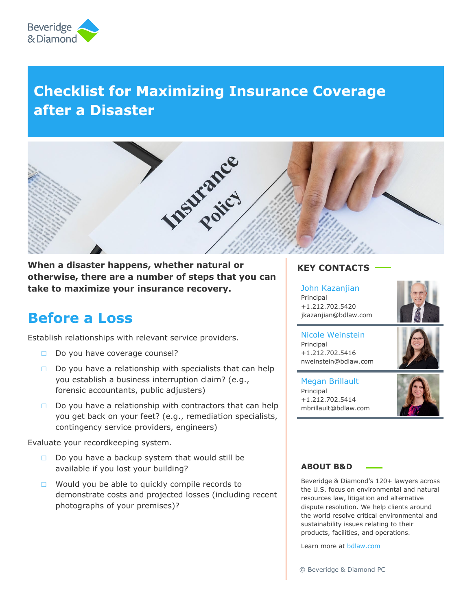

# **Checklist for Maximizing Insurance Coverage after a Disaster**



**When a disaster happens, whether natural or otherwise, there are a number of steps that you can take to maximize your insurance recovery.**

## **Before a Loss**

Establish relationships with relevant service providers.

- **□** Do you have coverage counsel?
- **□** Do you have a relationship with specialists that can help you establish a business interruption claim? (e.g., forensic accountants, public adjusters)
- **□** Do you have a relationship with contractors that can help you get back on your feet? (e.g., remediation specialists, contingency service providers, engineers)

Evaluate your recordkeeping system.

- **□** Do you have a backup system that would still be available if you lost your building?
- **□** Would you be able to quickly compile records to demonstrate costs and projected losses (including recent photographs of your premises)?

### **KEY CONTACTS**

### [John Kazanjian](https://www.bdlaw.com/john-h-kazanjian/)

Principal +1.212.702.5420 jkazanjian@bdlaw.com



Nicole Weinstein Principal +1.212.702.5416 nweinstein@bdlaw.com



Megan Brillault Principal +1.212.702.5414 mbrillault@bdlaw.com



#### **ABOUT B&D**

Beveridge & Diamond's 120+ lawyers across the U.S. focus on environmental and natural resources law, litigation and alternative dispute resolution. We help clients around the world resolve critical environmental and sustainability issues relating to their products, facilities, and operations.

Learn more at [bdlaw.com](http://www.bdlaw.com/)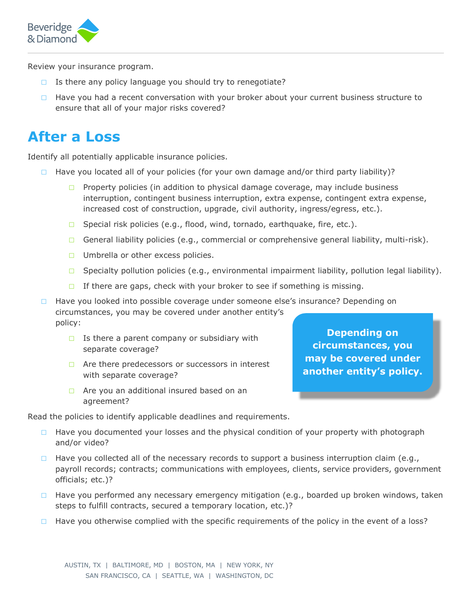

Review your insurance program.

- **□** Is there any policy language you should try to renegotiate?
- **□** Have you had a recent conversation with your broker about your current business structure to ensure that all of your major risks covered?

## **After a Loss**

Identify all potentially applicable insurance policies.

- **□** Have you located all of your policies (for your own damage and/or third party liability)?
	- **□** Property policies (in addition to physical damage coverage, may include business interruption, contingent business interruption, extra expense, contingent extra expense, increased cost of construction, upgrade, civil authority, ingress/egress, etc.).
	- **□** Special risk policies (e.g., flood, wind, tornado, earthquake, fire, etc.).
	- **□** General liability policies (e.g., commercial or comprehensive general liability, multi-risk).
	- **□** Umbrella or other excess policies.
	- **□** Specialty pollution policies (e.g., environmental impairment liability, pollution legal liability).
	- **□** If there are gaps, check with your broker to see if something is missing.

**□** Have you looked into possible coverage under someone else's insurance? Depending on circumstances, you may be covered under another entity's policy:

- **□** Is there a parent company or subsidiary with separate coverage?
- **□** Are there predecessors or successors in interest with separate coverage?
- **□** Are you an additional insured based on an agreement?

Read the policies to identify applicable deadlines and requirements.

- **□** Have you documented your losses and the physical condition of your property with photograph and/or video?
- **□** Have you collected all of the necessary records to support a business interruption claim (e.g., payroll records; contracts; communications with employees, clients, service providers, government officials; etc.)?
- □ Have you performed any necessary emergency mitigation (e.g., boarded up broken windows, taken steps to fulfill contracts, secured a temporary location, etc.)?
- **□** Have you otherwise complied with the specific requirements of the policy in the event of a loss?

**Depending on circumstances, you may be covered under another entity's policy.**